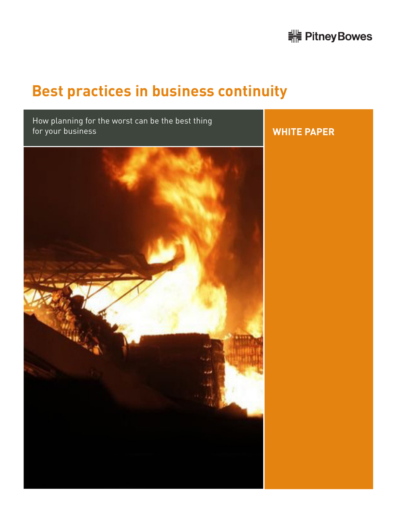# <u> <sup>-</sup> Pitney Bowes</u>

# **Best practices in business continuity**

How planning for the worst can be the best thing for your business



# **WHITE PAPER**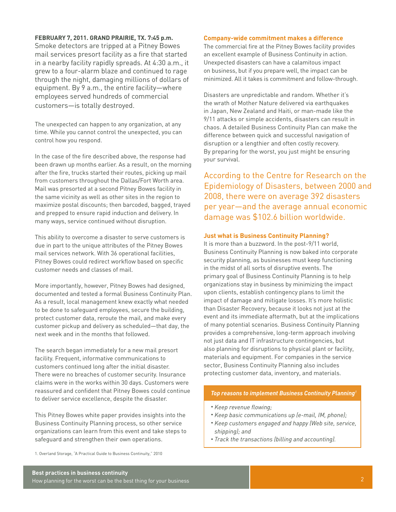# **FEBRUARY 7, 2011. GRAND PRAIRIE, TX. 7:45 p.m.**

Smoke detectors are tripped at a Pitney Bowes mail services presort facility as a fire that started in a nearby facility rapidly spreads. At 4:30 a.m., it grew to a four-alarm blaze and continued to rage through the night, damaging millions of dollars of equipment. By 9 a.m., the entire facility—where employees served hundreds of commercial customers—is totally destroyed.

The unexpected can happen to any organization, at any time. While you cannot control the unexpected, you can control how you respond.

In the case of the fire described above, the response had been drawn up months earlier. As a result, on the morning after the fire, trucks started their routes, picking up mail from customers throughout the Dallas/Fort Worth area. Mail was presorted at a second Pitney Bowes facility in the same vicinity as well as other sites in the region to maximize postal discounts; then barcoded, bagged, trayed and prepped to ensure rapid induction and delivery. In many ways, service continued without disruption.

This ability to overcome a disaster to serve customers is due in part to the unique attributes of the Pitney Bowes mail services network. With 36 operational facilities, Pitney Bowes could redirect workflow based on specific customer needs and classes of mail.

More importantly, however, Pitney Bowes had designed, documented and tested a formal Business Continuity Plan. As a result, local management knew exactly what needed to be done to safeguard employees, secure the building, protect customer data, reroute the mail, and make every customer pickup and delivery as scheduled—that day, the next week and in the months that followed.

The search began immediately for a new mail presort facility. Frequent, informative communications to customers continued long after the initial disaster. There were no breaches of customer security. Insurance claims were in the works within 30 days. Customers were reassured and confident that Pitney Bowes could continue to deliver service excellence, despite the disaster.

This Pitney Bowes white paper provides insights into the Business Continuity Planning process, so other service organizations can learn from this event and take steps to safeguard and strengthen their own operations.

#### 1. Overland Storage, "A Practical Guide to Business Continuity," 2010

**Best practices in business continuity** How planning for the worst can be the best thing for your business

### **Company-wide commitment makes a difference**

The commercial fire at the Pitney Bowes facility provides an excellent example of Business Continuity in action. Unexpected disasters can have a calamitous impact on business, but if you prepare well, the impact can be minimized. All it takes is commitment and follow-through.

Disasters are unpredictable and random. Whether it's the wrath of Mother Nature delivered via earthquakes in Japan, New Zealand and Haiti, or man-made like the 9/11 attacks or simple accidents, disasters can result in chaos. A detailed Business Continuity Plan can make the difference between quick and successful navigation of disruption or a lengthier and often costly recovery. By preparing for the worst, you just might be ensuring your survival.

According to the Centre for Research on the Epidemiology of Disasters, between 2000 and 2008, there were on average 392 disasters per year—and the average annual economic damage was \$102.6 billion worldwide.

#### **Just what is Business Continuity Planning?**

It is more than a buzzword. In the post-9/11 world, Business Continuity Planning is now baked into corporate security planning, as businesses must keep functioning in the midst of all sorts of disruptive events. The primary goal of Business Continuity Planning is to help organizations stay in business by minimizing the impact upon clients, establish contingency plans to limit the impact of damage and mitigate losses. It's more holistic than Disaster Recovery, because it looks not just at the event and its immediate aftermath, but at the implications of many potential scenarios. Business Continuity Planning provides a comprehensive, long-term approach involving not just data and IT infrastructure contingencies, but also planning for disruptions to physical plant or facility, materials and equipment. For companies in the service sector, Business Continuity Planning also includes protecting customer data, inventory, and materials.

#### *Top reasons to implement Business Continuity Planning<sup>1</sup>*

- *• Keep revenue flowing;*
- *• Keep basic communications up (e-mail, IM, phone);*
- *• Keep customers engaged and happy (Web site, service, shipping); and*
- *• Track the transactions (billing and accounting).*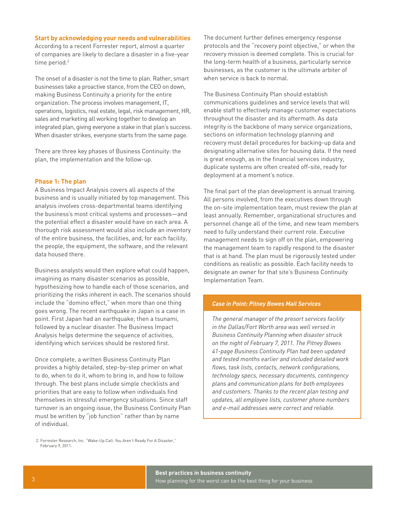# **Start by acknowledging your needs and vulnerabilities**

According to a recent Forrester report, almost a quarter of companies are likely to declare a disaster in a five-year time period.<sup>2</sup>

The onset of a disaster is not the time to plan. Rather, smart businesses take a proactive stance, from the CEO on down, making Business Continuity a priority for the entire organization. The process involves management, IT, operations, logistics, real estate, legal, risk management, HR, sales and marketing all working together to develop an integrated plan, giving everyone a stake in that plan's success. When disaster strikes, everyone starts from the same page.

There are three key phases of Business Continuity: the plan, the implementation and the follow-up.

# **Phase 1: The plan**

A Business Impact Analysis covers all aspects of the business and is usually initiated by top management. This analysis involves cross-departmental teams identifying the business's most critical systems and processes—and the potential effect a disaster would have on each area. A thorough risk assessment would also include an inventory of the entire business, the facilities, and, for each facility, the people, the equipment, the software, and the relevant data housed there.

Business analysts would then explore what could happen, imagining as many disaster scenarios as possible, hypothesizing how to handle each of those scenarios, and prioritizing the risks inherent in each. The scenarios should include the "domino effect," when more than one thing goes wrong. The recent earthquake in Japan is a case in point. First Japan had an earthquake; then a tsunami, followed by a nuclear disaster. The Business Impact Analysis helps determine the sequence of activities, identifying which services should be restored first.

Once complete, a written Business Continuity Plan provides a highly detailed, step-by-step primer on what to do, when to do it, whom to bring in, and how to follow through. The best plans include simple checklists and priorities that are easy to follow when individuals find themselves in stressful emergency situations. Since staff turnover is an ongoing issue, the Business Continuity Plan must be written by "job function" rather than by name of individual.

The document further defines emergency response protocols and the "recovery point objective," or when the recovery mission is deemed complete. This is crucial for the long-term health of a business, particularly service businesses, as the customer is the ultimate arbiter of when service is back to normal.

The Business Continuity Plan should establish communications guidelines and service levels that will enable staff to effectively manage customer expectations throughout the disaster and its aftermath. As data integrity is the backbone of many service organizations, sections on information technology planning and recovery must detail procedures for backing-up data and designating alternative sites for housing data. If the need is great enough, as in the financial services industry, duplicate systems are often created off-site, ready for deployment at a moment's notice.

The final part of the plan development is annual training. All persons involved, from the executives down through the on-site implementation team, must review the plan at least annually. Remember, organizational structures and personnel change all of the time, and new team members need to fully understand their current role. Executive management needs to sign off on the plan, empowering the management team to rapidly respond to the disaster that is at hand. The plan must be rigorously tested under conditions as realistic as possible. Each facility needs to designate an owner for that site's Business Continuity Implementation Team.

#### *Case in Point: Pitney Bowes Mail Services*

*The general manager of the presort services facility in the Dallas/Fort Worth area was well versed in Business Continuity Planning when disaster struck on the night of February 7, 2011. The Pitney Bowes 41-page Business Continuity Plan had been updated and tested months earlier and included detailed work flows, task lists, contacts, network configurations, technology specs, necessary documents, contingency plans and communication plans for both employees and customers. Thanks to the recent plan testing and updates, all employee lists, customer phone numbers and e-mail addresses were correct and reliable.*

2. Forrester Research, Inc. "Wake-Up Call: You Aren't Ready For A Disaster," February 9, 2011.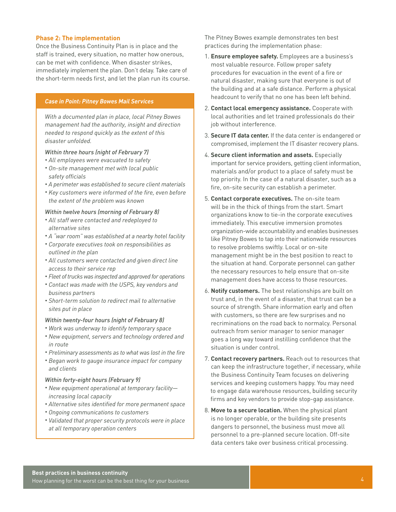# **Phase 2: The implementation**

Once the Business Continuity Plan is in place and the staff is trained, every situation, no matter how onerous, can be met with confidence. When disaster strikes, immediately implement the plan. Don't delay. Take care of the short-term needs first, and let the plan run its course.

# *Case in Point: Pitney Bowes Mail Services*

*With a documented plan in place, local Pitney Bowes management had the authority, insight and direction needed to respond quickly as the extent of this disaster unfolded.*

# *Within three hours (night of February 7)*

- *• All employees were evacuated to safety*
- *• On-site management met with local public safety officials*
- *• A perimeter was established to secure client materials*
- *• Key customers were informed of the fire, even before the extent of the problem was known*

#### *Within twelve hours (morning of February 8)*

- *• All staff were contacted and redeployed to alternative sites*
- *• A "war room" was established at a nearby hotel facility*
- *• Corporate executives took on responsibilities as outlined in the plan*
- *• All customers were contacted and given direct line access to their service rep*
- *• Fleet of trucks was inspected and approved for operations*
- *• Contact was made with the USPS, key vendors and business partners*
- *• Short-term solution to redirect mail to alternative sites put in place*

#### *Within twenty-four hours (night of February 8)*

- *• Work was underway to identify temporary space*
- *• New equipment, servers and technology ordered and in route*
- *• Preliminary assessments as to what was lost in the fire*
- *• Began work to gauge insurance impact for company and clients*

#### *Within forty-eight hours (February 9)*

- *• New equipment operational at temporary facility increasing local capacity*
- *• Alternative sites identified for more permanent space*
- *• Ongoing communications to customers*
- *• Validated that proper security protocols were in place at all temporary operation centers*

The Pitney Bowes example demonstrates ten best practices during the implementation phase:

- 1. **Ensure employee safety.** Employees are a business's most valuable resource. Follow proper safety procedures for evacuation in the event of a fire or natural disaster, making sure that everyone is out of the building and at a safe distance. Perform a physical headcount to verify that no one has been left behind.
- 2. **Contact local emergency assistance.** Cooperate with local authorities and let trained professionals do their job without interference.
- 3. **Secure IT data center.** If the data center is endangered or compromised, implement the IT disaster recovery plans.
- 4. **Secure client information and assets.** Especially important for service providers, getting client information, materials and/or product to a place of safety must be top priority. In the case of a natural disaster, such as a fire, on-site security can establish a perimeter.
- 5. **Contact corporate executives.** The on-site team will be in the thick of things from the start. Smart organizations know to tie-in the corporate executives immediately. This executive immersion promotes organization-wide accountability and enables businesses like Pitney Bowes to tap into their nationwide resources to resolve problems swiftly. Local or on-site management might be in the best position to react to the situation at hand. Corporate personnel can gather the necessary resources to help ensure that on-site management does have access to those resources.
- 6. **Notify customers.** The best relationships are built on trust and, in the event of a disaster, that trust can be a source of strength. Share information early and often with customers, so there are few surprises and no recriminations on the road back to normalcy. Personal outreach from senior manager to senior manager goes a long way toward instilling confidence that the situation is under control.
- 7. **Contact recovery partners.** Reach out to resources that can keep the infrastructure together, if necessary, while the Business Continuity Team focuses on delivering services and keeping customers happy. You may need to engage data warehouse resources, building security firms and key vendors to provide stop-gap assistance.
- 8. **Move to a secure location.** When the physical plant is no longer operable, or the building site presents dangers to personnel, the business must move all personnel to a pre-planned secure location. Off-site data centers take over business critical processing.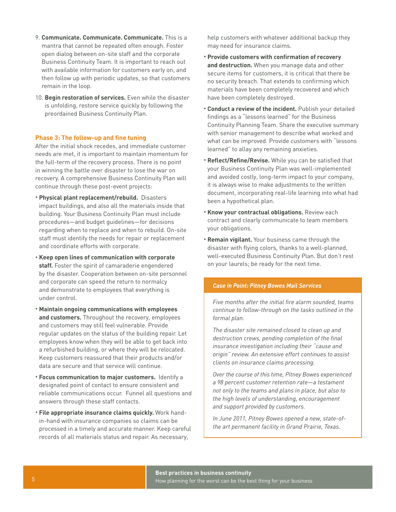- 9. **Communicate. Communicate. Communicate.** This is a mantra that cannot be repeated often enough. Foster open dialog between on-site staff and the corporate Business Continuity Team. It is important to reach out with available information for customers early on, and then follow up with periodic updates, so that customers remain in the loop.
- 10. **Begin restoration of services.** Even while the disaster is unfolding, restore service quickly by following the preordained Business Continuity Plan.

# **Phase 3: The follow-up and fine tuning**

After the initial shock recedes, and immediate customer needs are met, it is important to maintain momentum for the full-term of the recovery process. There is no point in winning the battle over disaster to lose the war on recovery. A comprehensive Business Continuity Plan will continue through these post-event projects:

- *•* **Physical plant replacement/rebuild.** Disasters impact buildings, and also all the materials inside that building. Your Business Continuity Plan must include procedures—and budget guidelines—for decisions regarding when to replace and when to rebuild. On-site staff must identify the needs for repair or replacement and coordinate efforts with corporate.
- *•* **Keep open lines of communication with corporate staff.** Foster the spirit of camaraderie engendered by the disaster. Cooperation between on-site personnel and corporate can speed the return to normalcy and demonstrate to employees that everything is under control.
- *•* **Maintain ongoing communications with employees and customers.** Throughout the recovery, employees and customers may still feel vulnerable. Provide regular updates on the status of the building repair. Let employees know when they will be able to get back into a refurbished building, or where they will be relocated. Keep customers reassured that their products and/or data are secure and that service will continue.
- *•* **Focus communication to major customers.** Identify a designated point of contact to ensure consistent and reliable communications occur. Funnel all questions and answers through these staff contacts.
- *•* **File appropriate insurance claims quickly.** Work handin-hand with insurance companies so claims can be processed in a timely and accurate manner. Keep careful records of all materials status and repair. As necessary,

help customers with whatever additional backup they may need for insurance claims.

- *•* **Provide customers with confirmation of recovery and destruction.** When you manage data and other secure items for customers, it is critical that there be no security breach. That extends to confirming which materials have been completely recovered and which have been completely destroyed.
- *•* **Conduct a review of the incident.** Publish your detailed findings as a "lessons learned" for the Business Continuity Planning Team. Share the executive summary with senior management to describe what worked and what can be improved. Provide customers with "lessons learned" to allay any remaining anxieties.
- *•* **Reflect/Refine/Revise.** While you can be satisfied that your Business Continuity Plan was well-implemented and avoided costly, long-term impact to your company, it is always wise to make adjustments to the written document, incorporating real-life learning into what had been a hypothetical plan.
- *•* **Know your contractual obligations.** Review each contract and clearly communicate to team members your obligations.
- *•* **Remain vigilant.** Your business came through the disaster with flying colors, thanks to a well-planned, well-executed Business Continuity Plan. But don't rest on your laurels; be ready for the next time.

# *Case in Point: Pitney Bowes Mail Services*

*Five months after the initial fire alarm sounded, teams continue to follow-through on the tasks outlined in the formal plan.* 

*The disaster site remained closed to clean up and destruction crews, pending completion of the final insurance investigation including their "cause and origin" review. An extensive effort continues to assist clients on insurance claims processing.*

*Over the course of this time, Pitney Bowes experienced a 98 percent customer retention rate—a testament not only to the teams and plans in place, but also to the high levels of understanding, encouragement and support provided by customers.*

*In June 2011, Pitney Bowes opened a new, state-ofthe art permanent facility in Grand Prairie, Texas.*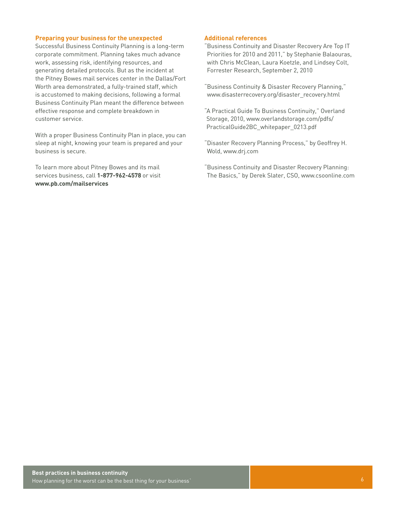### **Preparing your business for the unexpected**

Successful Business Continuity Planning is a long-term corporate commitment. Planning takes much advance work, assessing risk, identifying resources, and generating detailed protocols. But as the incident at the Pitney Bowes mail services center in the Dallas/Fort Worth area demonstrated, a fully-trained staff, which is accustomed to making decisions, following a formal Business Continuity Plan meant the difference between effective response and complete breakdown in customer service.

With a proper Business Continuity Plan in place, you can sleep at night, knowing your team is prepared and your business is secure.

To learn more about Pitney Bowes and its mail services business, call **1-877-962-4578** or visit **www.pb.com/mailservices**

# **Additional references**

- "Business Continuity and Disaster Recovery Are Top IT Priorities for 2010 and 2011," by Stephanie Balaouras, with Chris McClean, Laura Koetzle, and Lindsey Colt, Forrester Research, September 2, 2010
- "Business Continuity & Disaster Recovery Planning," www.disasterrecovery.org/disaster\_recovery.html
- "A Practical Guide To Business Continuity," Overland Storage, 2010, www.overlandstorage.com/pdfs/ PracticalGuide2BC\_whitepaper\_0213.pdf
- "Disaster Recovery Planning Process," by Geoffrey H. Wold, www.drj.com
- "Business Continuity and Disaster Recovery Planning: The Basics," by Derek Slater, CSO, www.csoonline.com